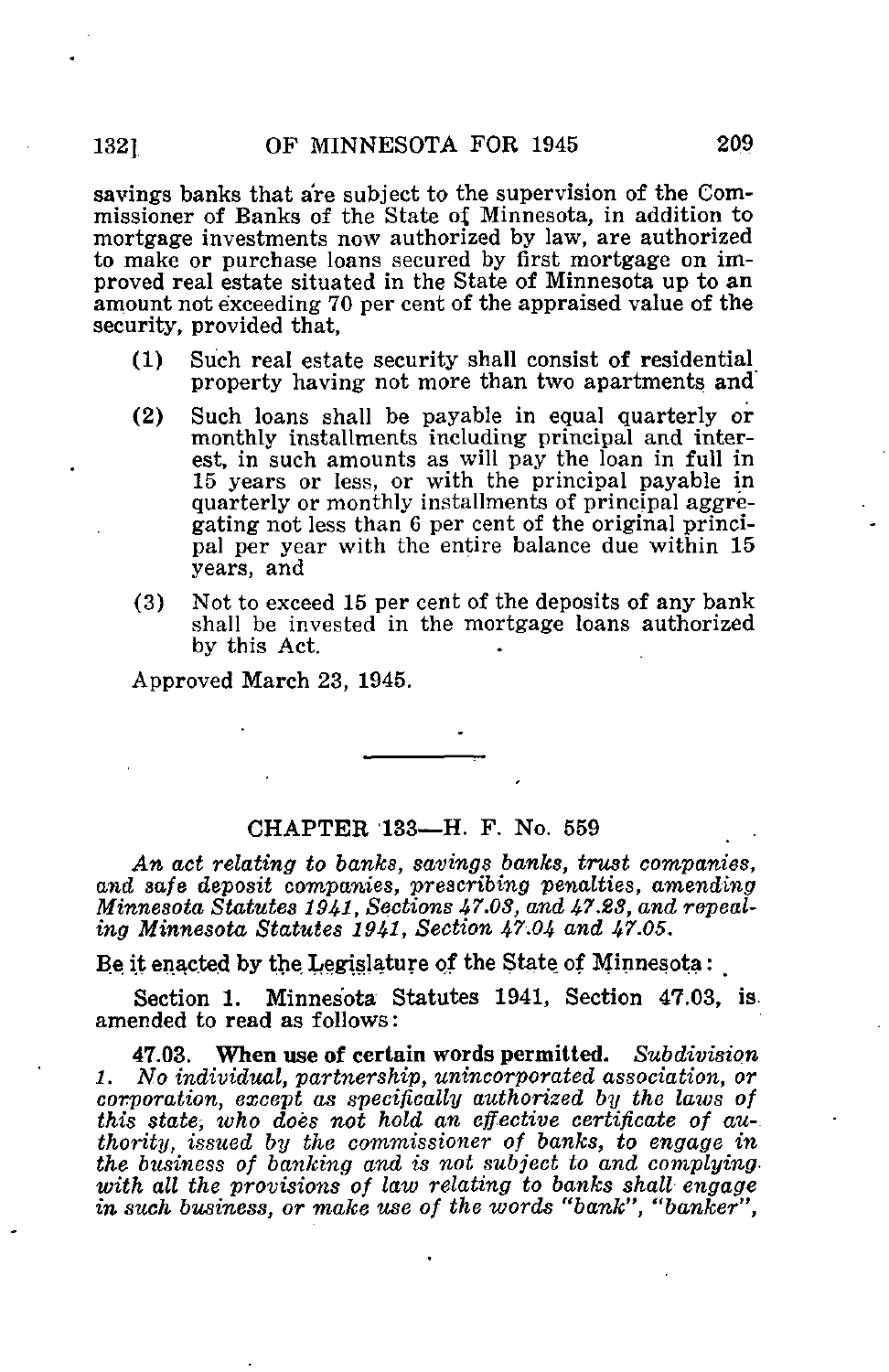sayings banks that are subject to the supervision of the Commissioner of Banks of the State of Minnesota, in addition to mortgage investments now authorized by law, are authorized to make or purchase loans secured by first mortgage on improved real estate situated in the State of Minnesota up to an amount not exceeding 70 per cent of the appraised value of the security, provided that,

- (1) Such real estate security shall consist of residential property having not more than two apartments and"
- (2) Such loans shall be payable in equal quarterly or monthly installments including principal and interest, in such amounts as will pay the loan in full in 15 years or less, or with the principal payable in quarterly or monthly installments of principal aggregating not less than 6 per cent of the original principal per year with the entire balance due within 15 years, and
- (3) Not to exceed 15 per cent of the deposits of any bank shall be invested in the mortgage loans authorized by this Act.

Approved March 23, 1945.

## CHAPTER 133—H. F. No. 559

An act relating to banks, savings banks, trust companies, and safe deposit companies, prescribing penalties, amending Minnesota Statutes 1941, Sections 47.08, and 47.23, and repealing Minnesota Statutes 1941, Section 47.04 and 47.05.

Be it enacted by the Legislature of the State of Minnesota:

Section 1. Minnesota Statutes 1941, Section 47.03, is. amended to read as follows:

47.03. When use of certain words permitted. Subdivision 1. No individual, partnership, unincorporated association, or corporation, except as specifically authorized by the laws of this state, who does not hold an effective certificate of au-. thority, issued by the commissioner of banks, to engage in the business of banking and is not subject to and complying with all the provisions of law relating to banks shall engage in such business, or make use of the words "bank", "banker",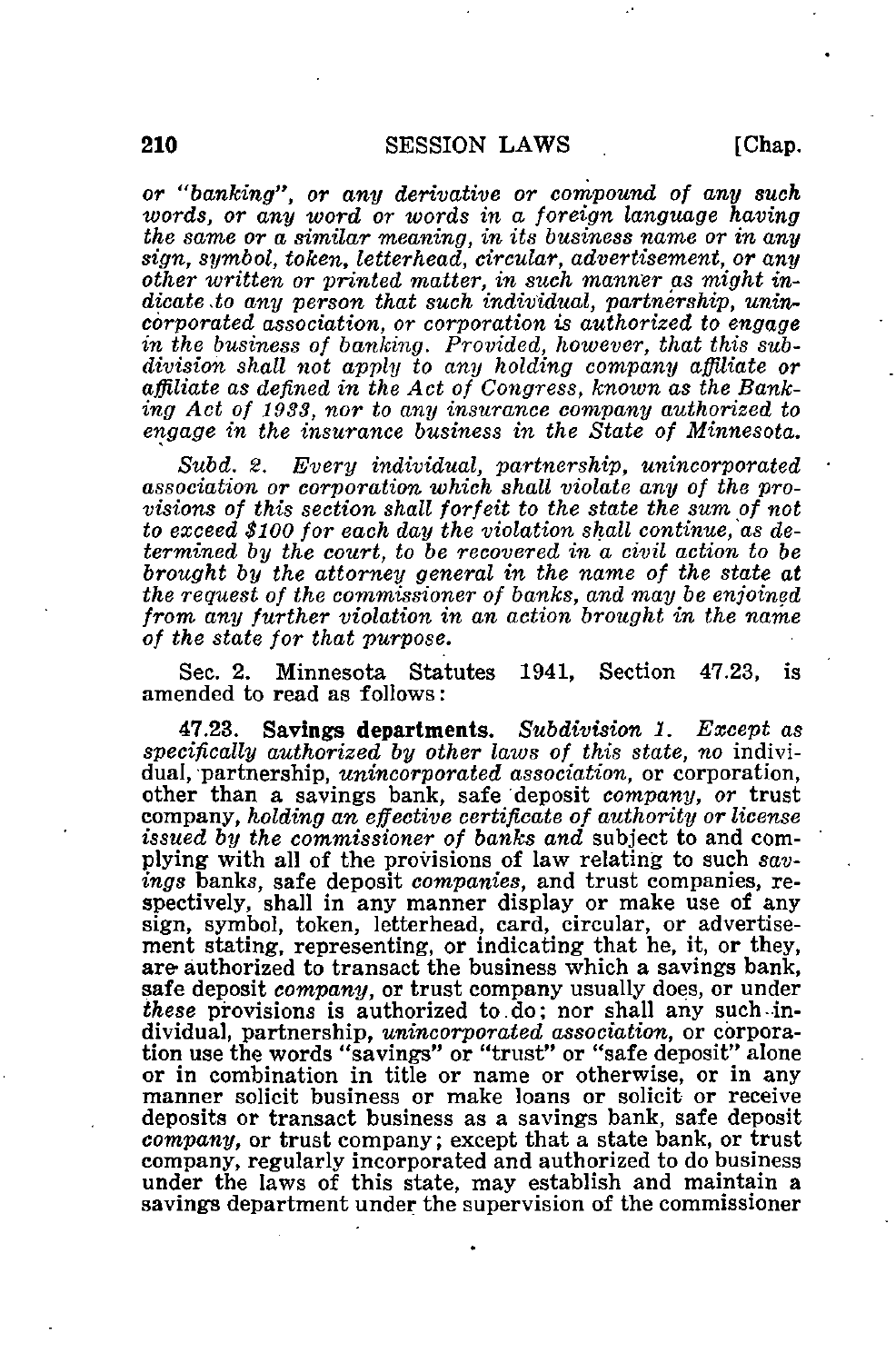or "banking", or any derivative or compound of any such words, or any word or words in a foreign language having the same or a similar meaning, in its business name or in any sign, symbol, token, letterhead, circular, advertisement, or any other written or printed matter, in such manner as might indicate to any person that such individual, partnership, unincorporated association, or corporation is authorized to engage in the business of banking. Provided, however, that this subdivision shall not apply to any holding company affiliate or affiliate as defined in the Act of Congress, known as the Banking Act of 1933, nor to any insurance company authorized to engage in the insurance business in the State of Minnesota.

Subd. 2. Every individual, partnership, unincorporated association or corporation which shall violate any of the provisions of this section shall forfeit to the state the sum of not to exceed \$100 for each day the violation shall continue, as determined by the court, to be recovered in a civil action to be brought by the attorney general in the name of the state at the request of the commissioner of banks, and may be enjoined from any further violation in an action brought in the name of the state for that purpose.

Sec. 2. Minnesota Statutes 1941, Section 47.23, is amended to read as follows:

47.23. Sayings departments. Subdivision 1. Except as specifically authorized by other laws of this state, no individual, partnership, unincorporated association, or corporation, other than a savings bank, safe deposit company, or trust company, holding an effective certificate of authority or license issued by the commissioner of banks and subject to and complying with all of the provisions of law relating to such savings banks, safe deposit companies, and trust companies, respectively, shall in any manner display or make use of any sign, symbol, token, letterhead, card, circular, or advertisement stating, representing, or indicating that he, it, or they, are authorized to transact the business which a savings bank, safe deposit *company*, or trust company usually does, or under these provisions is authorized to. do; nor shall any such-individual, partnership, unincorporated association, or corporation use the words "savings" or "trust" or "safe deposit" alone or in combination in title or name or otherwise, or in any manner solicit business or make loans or solicit or receive deposits or transact business as a savings bank, safe deposit company, or trust company; except that a state bank, or trust company, regularly incorporated and authorized to do business under the laws of this state, may establish and maintain a savings department under the supervision of the commissioner